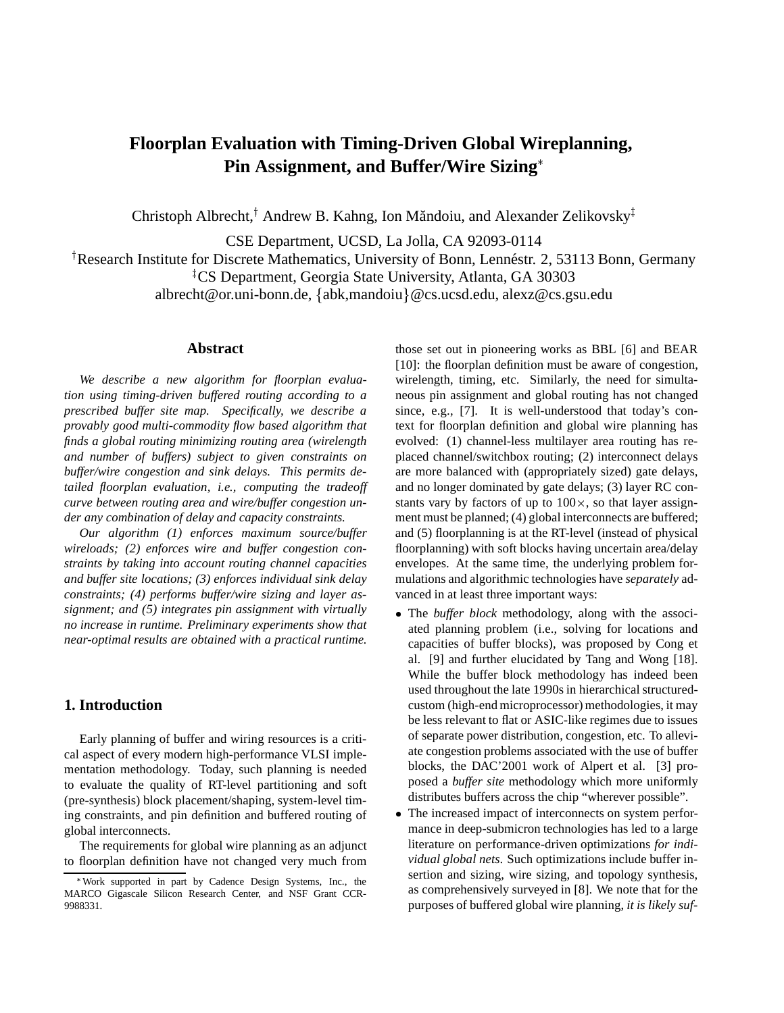# **Floorplan Evaluation with Timing-Driven Global Wireplanning, Pin Assignment, and Buffer/Wire Sizing**

Christoph Albrecht,<sup>†</sup> Andrew B. Kahng, Ion Măndoiu, and Alexander Zelikovsky<sup>‡</sup>

CSE Department, UCSD, La Jolla, CA 92093-0114

<sup>†</sup> Research Institute for Discrete Mathematics, University of Bonn, Lennéstr. 2, 53113 Bonn, Germany <sup>‡</sup>CS Department, Georgia State University, Atlanta, GA 30303 albrecht@or.uni-bonn.de, {abk,mandoiu}@cs.ucsd.edu, alexz@cs.gsu.edu

#### **Abstract**

*We describe a new algorithm for floorplan evaluation using timing-driven buffered routing according to a prescribed buffer site map. Specifically, we describe a provably good multi-commodity flow based algorithm that finds a global routing minimizing routing area (wirelength and number of buffers) subject to given constraints on buffer/wire congestion and sink delays. This permits detailed floorplan evaluation, i.e., computing the tradeoff curve between routing area and wire/buffer congestion under any combination of delay and capacity constraints.*

*Our algorithm (1) enforces maximum source/buffer wireloads; (2) enforces wire and buffer congestion constraints by taking into account routing channel capacities and buffer site locations; (3) enforces individual sink delay constraints; (4) performs buffer/wire sizing and layer assignment; and (5) integrates pin assignment with virtually no increase in runtime. Preliminary experiments show that near-optimal results are obtained with a practical runtime.*

## **1. Introduction**

Early planning of buffer and wiring resources is a critical aspect of every modern high-performance VLSI implementation methodology. Today, such planning is needed to evaluate the quality of RT-level partitioning and soft (pre-synthesis) block placement/shaping, system-level timing constraints, and pin definition and buffered routing of global interconnects.

The requirements for global wire planning as an adjunct to floorplan definition have not changed very much from those set out in pioneering works as BBL [6] and BEAR [10]: the floorplan definition must be aware of congestion, wirelength, timing, etc. Similarly, the need for simultaneous pin assignment and global routing has not changed since, e.g., [7]. It is well-understood that today's context for floorplan definition and global wire planning has evolved: (1) channel-less multilayer area routing has replaced channel/switchbox routing; (2) interconnect delays are more balanced with (appropriately sized) gate delays, and no longer dominated by gate delays; (3) layer RC constants vary by factors of up to  $100 \times$ , so that layer assignment must be planned; (4) global interconnects are buffered; and (5) floorplanning is at the RT-level (instead of physical floorplanning) with soft blocks having uncertain area/delay envelopes. At the same time, the underlying problem formulations and algorithmic technologies have *separately* advanced in at least three important ways:

- The *buffer block* methodology, along with the associated planning problem (i.e., solving for locations and capacities of buffer blocks), was proposed by Cong et al. [9] and further elucidated by Tang and Wong [18]. While the buffer block methodology has indeed been used throughout the late 1990s in hierarchical structuredcustom (high-end microprocessor) methodologies, it may be less relevant to flat or ASIC-like regimes due to issues of separate power distribution, congestion, etc. To alleviate congestion problems associated with the use of buffer blocks, the DAC'2001 work of Alpert et al. [3] proposed a *buffer site* methodology which more uniformly distributes buffers across the chip "wherever possible".
- . . The increased impact of interconnects on system performance in deep-submicron technologies has led to a large literature on performance-driven optimizations *for individual global nets*. Such optimizations include buffer insertion and sizing, wire sizing, and topology synthesis, as comprehensively surveyed in [8]. We note that for the purposes of buffered global wire planning, *it is likely suf-*

Work supported in part by Cadence Design Systems, Inc., the MARCO Gigascale Silicon Research Center, and NSF Grant CCR-9988331.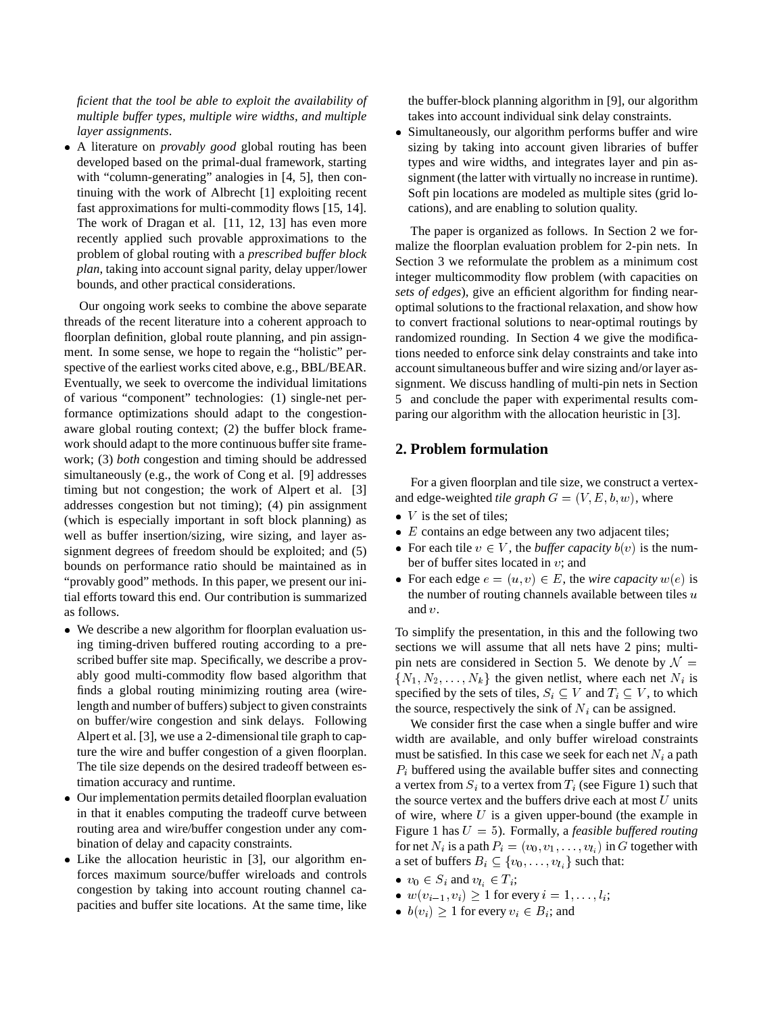*ficient that the tool be able to exploit the availability of multiple buffer types, multiple wire widths, and multiple layer assignments*.

 A literature on *provably good* global routing has been developed based on the primal-dual framework, starting with "column-generating" analogies in [4, 5], then continuing with the work of Albrecht [1] exploiting recent fast approximations for multi-commodity flows [15, 14]. The work of Dragan et al. [11, 12, 13] has even more recently applied such provable approximations to the problem of global routing with a *prescribed buffer block plan*, taking into account signal parity, delay upper/lower bounds, and other practical considerations.

Our ongoing work seeks to combine the above separate threads of the recent literature into a coherent approach to floorplan definition, global route planning, and pin assignment. In some sense, we hope to regain the "holistic" perspective of the earliest works cited above, e.g., BBL/BEAR. Eventually, we seek to overcome the individual limitations of various "component" technologies: (1) single-net performance optimizations should adapt to the congestionaware global routing context; (2) the buffer block framework should adapt to the more continuous buffer site framework; (3) *both* congestion and timing should be addressed simultaneously (e.g., the work of Cong et al. [9] addresses timing but not congestion; the work of Alpert et al. [3] addresses congestion but not timing); (4) pin assignment (which is especially important in soft block planning) as well as buffer insertion/sizing, wire sizing, and layer assignment degrees of freedom should be exploited; and (5) bounds on performance ratio should be maintained as in "provably good" methods. In this paper, we present our initial efforts toward this end. Our contribution is summarized as follows.

- We describe a new algorithm for floorplan evaluation using timing-driven buffered routing according to a prescribed buffer site map. Specifically, we describe a provably good multi-commodity flow based algorithm that finds a global routing minimizing routing area (wirelength and number of buffers) subject to given constraints on buffer/wire congestion and sink delays. Following Alpert et al. [3], we use a 2-dimensional tile graph to capture the wire and buffer congestion of a given floorplan. The tile size depends on the desired tradeoff between estimation accuracy and runtime.
- $\bullet$  Our implementation permits detailed floorplan evaluation in that it enables computing the tradeoff curve between routing area and wire/buffer congestion under any combination of delay and capacity constraints.
- Like the allocation heuristic in [3], our algorithm enforces maximum source/buffer wireloads and controls congestion by taking into account routing channel capacities and buffer site locations. At the same time, like

the buffer-block planning algorithm in [9], our algorithm takes into account individual sink delay constraints.

 Simultaneously, our algorithm performs buffer and wire sizing by taking into account given libraries of buffer types and wire widths, and integrates layer and pin assignment (the latter with virtually no increase in runtime). Soft pin locations are modeled as multiple sites (grid locations), and are enabling to solution quality.

The paper is organized as follows. In Section 2 we formalize the floorplan evaluation problem for 2-pin nets. In Section 3 we reformulate the problem as a minimum cost integer multicommodity flow problem (with capacities on *sets of edges*), give an efficient algorithm for finding nearoptimal solutions to the fractional relaxation, and show how to convert fractional solutions to near-optimal routings by randomized rounding. In Section 4 we give the modifications needed to enforce sink delay constraints and take into account simultaneous buffer and wire sizing and/or layer assignment. We discuss handling of multi-pin nets in Section 5 and conclude the paper with experimental results comparing our algorithm with the allocation heuristic in [3].

## **2. Problem formulation**

For a given floorplan and tile size, we construct a vertexand edge-weighted *tile graph*  $G = (V, E, b, w)$ , where

- $V$  is the set of tiles;
- $\bullet$  E contains an edge between any two adjacent tiles;
- For each tile  $v \in V$ , the *buffer capacity*  $b(v)$  is the number of buffer sites located in  $v$ ; and
- For each edge  $e = (u, v) \in E$ , the *wire capacity*  $w(e)$  is the number of routing channels available between tiles  $u$ and <sup>v</sup>.

To simplify the presentation, in this and the following two sections we will assume that all nets have 2 pins; multipin nets are considered in Section 5. We denote by  $\mathcal{N} =$  $\{N_1, N_2, \ldots, N_k\}$  the given netlist, where each net  $N_i$  is specified by the sets of tiles,  $S_i \subseteq V$  and  $T_i \subseteq V$ , to which the source, respectively the sink of  $N_i$  can be assigned.

We consider first the case when a single buffer and wire width are available, and only buffer wireload constraints must be satisfied. In this case we seek for each net  $N_i$  a path  $P_i$  buffered using the available buffer sites and connecting a vertex from  $S_i$  to a vertex from  $T_i$  (see Figure 1) such that the source vertex and the buffers drive each at most  $U$  units of wire, where  $U$  is a given upper-bound (the example in Figure 1 has <sup>U</sup> = 5). Formally, a *feasible buffered routing* for net  $N_i$  is a path  $P_i = (v_0, v_1, \ldots, v_k)$  in G together with a set of buffers  $B_i \subseteq \{v_0,\ldots,v_{l_i}\}$  such that:

- $v_0 \in S_i$  and  $v_{l_i} \in T_i$ ;
- $w(v_{i-1}, v_i) \geq 1$  for every  $i = 1, \ldots, l_i;$
- $b(v_i) \geq 1$  for every  $v_i \in B_i$ ; and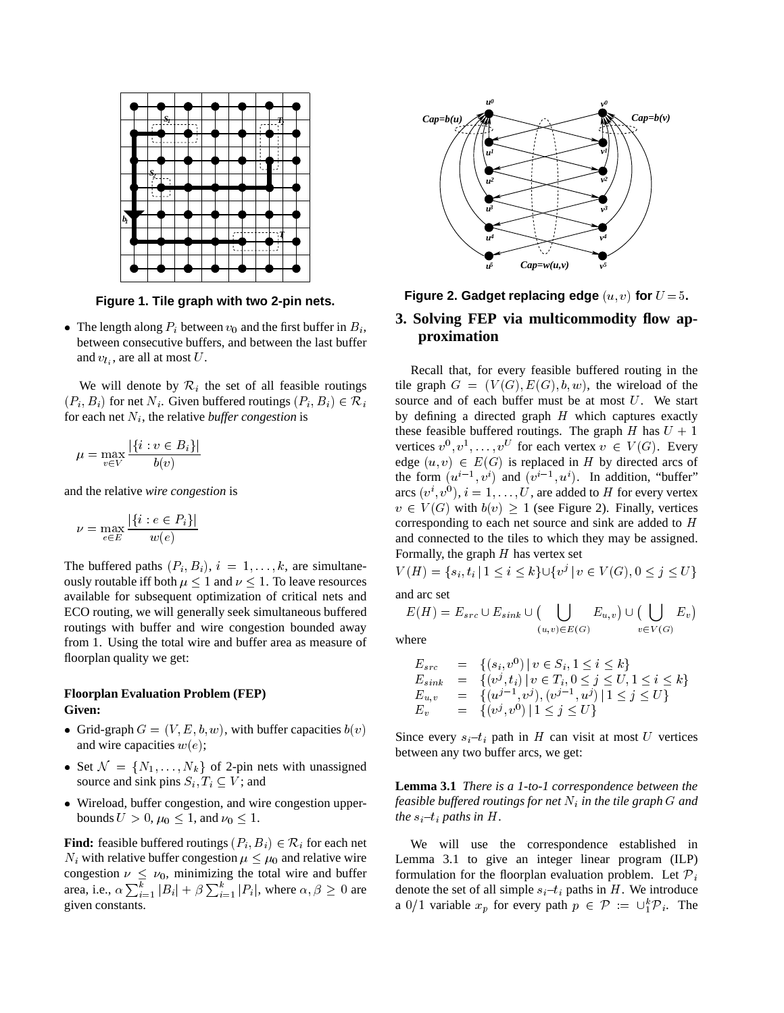

**Figure 1. Tile graph with two 2-pin nets.**

• The length along  $P_i$  between  $v_0$  and the first buffer in  $B_i$ , between consecutive buffers, and between the last buffer and  $v_{l_i}$ , are all at most U.

We will denote by  $\mathcal{R}_i$  the set of all feasible routings  $(P_i, B_i)$  for net N<sub>i</sub>. Given buffered routings  $(P_i, B_i) \in \mathcal{R}_i$ for each net  $N_i$ , the relative *buffer congestion* is

$$
\mu = \max_{v \in V} \frac{|\{i : v \in B_i\}|}{b(v)}
$$

and the relative *wire congestion* is

$$
\nu = \max_{e \in E} \frac{|\{i : e \in P_i\}|}{w(e)}
$$

The buffered paths  $(P_i, B_i)$ ,  $i = 1, \ldots, k$ , are simultaneously routable iff both  $\mu \leq 1$  and  $\nu \leq 1$ . To leave resources available for subsequent optimization of critical nets and ECO routing, we will generally seek simultaneous buffered routings with buffer and wire congestion bounded away from 1. Using the total wire and buffer area as measure of floorplan quality we get:

## **Floorplan Evaluation Problem (FEP) Given:**

- Grid-graph  $G = (V, E, b, w)$ , with buffer capacities  $b(v)$ and wire capacities  $w(e)$ ;
- Set  $\mathcal{N} = \{N_1, \ldots, N_k\}$  of 2-pin nets with unassigned source and sink pins  $S_i, T_i \subseteq V$ ; and
- Wireload, buffer congestion, and wire congestion upperbounds  $U > 0$ ,  $\mu_0 < 1$ , and  $\nu_0 < 1$ .

**Find:** feasible buffered routings  $(P_i, B_i) \in \mathcal{R}_i$  for each net  $N_i$  with relative buffer congestion  $\mu \leq \mu_0$  and relative wire congestion  $\nu \leq \nu_0$ , minimizing the total wire and buffer area, i.e.,  $\alpha \sum_{i=1}^{\kappa} |B_i| + \beta \sum_{i=1}^{\kappa} |P_i|$ , where  $\alpha, \beta \geq 0$  are dere given constants.



# **Figure 2. Gadget replacing edge**  $(u, v)$  for  $U = 5$ . **3. Solving FEP via multicommodity flow approximation**

Recall that, for every feasible buffered routing in the tile graph  $G = (V(G), E(G), b, w)$ , the wireload of the source and of each buffer must be at most <sup>U</sup>. We start by defining a directed graph  $H$  which captures exactly these feasible buffered routings. The graph H has  $U + 1$ vertices  $v^0, v^1, \ldots, v^U$  for each vertex  $v \in V(G)$ . Every edge  $(u, v) \in E(G)$  is replaced in H by directed arcs of the form  $(u^{i-1}, v^i)$  and  $(v^{i-1}, u^i)$ . In addition, "buffer" arcs  $(v^i, v^0), i = 1, \ldots, U$ , are added to H for every vertex  $v \in V(G)$  with  $b(v) \geq 1$  (see Figure 2). Finally, vertices corresponding to each net source and sink are added to <sup>H</sup> and connected to the tiles to which they may be assigned. Formally, the graph  $H$  has vertex set

$$
V(H) = \{s_i, t_i \mid 1 \le i \le k\} \cup \{v^j \mid v \in V(G), 0 \le j \le U\}
$$

and arc set

$$
E(H) = E_{src} \cup E_{sink} \cup (\bigcup_{(u,v) \in E(G)} E_{u,v}) \cup (\bigcup_{v \in V(G)} E_v)
$$

where

$$
E_{src} = \{(s_i, v^0) | v \in S_i, 1 \le i \le k\}
$$
  
\n
$$
E_{sink} = \{(v^j, t_i) | v \in T_i, 0 \le j \le U, 1 \le i \le k\}
$$
  
\n
$$
E_{u,v} = \{(u^{j-1}, v^j), (v^{j-1}, u^j) | 1 \le j \le U\}
$$
  
\n
$$
E_v = \{(v^j, v^0) | 1 \le j \le U\}
$$

Since every  $s_i - t_i$  path in H can visit at most U vertices between any two buffer arcs, we get:

**Lemma 3.1** *There is a 1-to-1 correspondence between the feasible buffered routings for net*  $N_i$  *in the tile graph*  $G$  *and the*  $s_i$ – $t_i$  *paths in*  $H$ *.* 

We will use the correspondence established in Lemma 3.1 to give an integer linear program (ILP) formulation for the floorplan evaluation problem. Let  $\mathcal{P}_i$ denote the set of all simple  $s_i$  – $t_i$  paths in H. We introduce a 0/1 variable  $x_p$  for every path  $p \in \mathcal{P} := \bigcup_{i=1}^{k} \mathcal{P}_i$ . The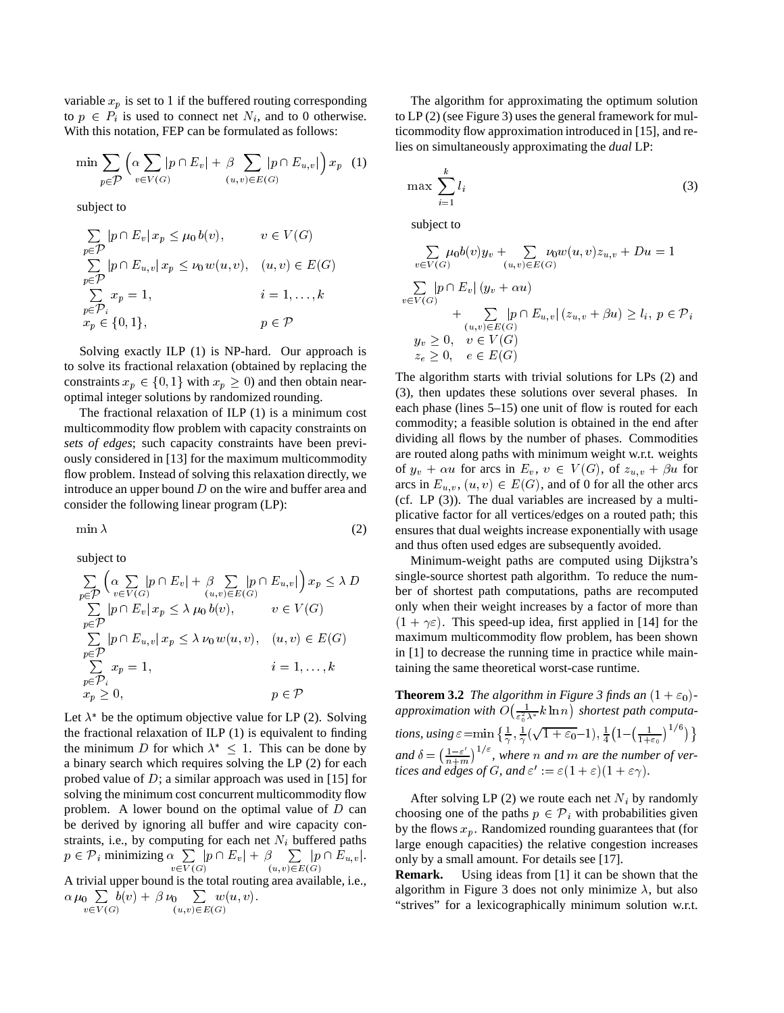variable  $x_p$  is set to 1 if the buffered routing corresponding to  $p \in P_i$  is used to connect net  $N_i$ , and to 0 otherwise. With this notation, FEP can be formulated as follows:

$$
\min \sum_{p \in \mathcal{P}} \left( \alpha \sum_{v \in V(G)} |p \cap E_v| + \beta \sum_{(u,v) \in E(G)} |p \cap E_{u,v}| \right) x_p \tag{1}
$$

subject to

$$
\sum_{p \in \mathcal{P}} |p \cap E_v| \, x_p \le \mu_0 \, b(v), \qquad v \in V(G)
$$
\n
$$
\sum_{p \in \mathcal{P}} |p \cap E_{u,v}| \, x_p \le \nu_0 \, w(u,v), \quad (u,v) \in E(G)
$$
\n
$$
\sum_{p \in \mathcal{P}_i} x_p = 1, \qquad i = 1, \dots, k
$$
\n
$$
x_p \in \{0, 1\}, \qquad p \in \mathcal{P}
$$

Solving exactly ILP (1) is NP-hard. Our approach is to solve its fractional relaxation (obtained by replacing the constraints  $x_p \in \{0, 1\}$  with  $x_p \ge 0$ ) and then obtain nearoptimal integer solutions by randomized rounding.

The fractional relaxation of ILP (1) is a minimum cost multicommodity flow problem with capacity constraints on *sets of edges*; such capacity constraints have been previously considered in [13] for the maximum multicommodity flow problem. Instead of solving this relaxation directly, we introduce an upper bound  $D$  on the wire and buffer area and consider the following linear program (LP):

$$
\min \lambda \tag{2}
$$

subject to

$$
\sum_{p \in \mathcal{P}} \left( \underset{v \in V(G)}{\alpha \sum} |p \cap E_v| + \underset{(u,v) \in E(G)}{\beta \sum} |p \cap E_{u,v}| \right) x_p \leq \lambda D
$$
\n
$$
\sum_{p \in \mathcal{P}} |p \cap E_v| x_p \leq \lambda \mu_0 b(v), \qquad v \in V(G)
$$
\n
$$
\sum_{p \in \mathcal{P}} |p \cap E_{u,v}| x_p \leq \lambda \nu_0 w(u,v), \quad (u,v) \in E(G)
$$
\n
$$
\sum_{p \in \mathcal{P}} x_p = 1, \qquad i = 1, \dots, k
$$
\n
$$
x_p \geq 0, \qquad p \in \mathcal{P}
$$

Let  $\lambda^*$  be the optimum objective value for LP (2). Solving the fractional relaxation of ILP (1) is equivalent to finding the minimum D for which  $\lambda^*$  < 1. This can be done by a binary search which requires solving the LP (2) for each probed value of  $D$ ; a similar approach was used in [15] for solving the minimum cost concurrent multicommodity flow problem. A lower bound on the optimal value of  $D$  can be derived by ignoring all buffer and wire capacity constraints, i.e., by computing for each net  $N_i$  buffered paths straints, i.e., by computing for each net  $N_i$  l<br>  $p \in \mathcal{P}_i$  minimizing  $\alpha \sum |p \cap E_v| + \beta \sum$ v2V (G)  $|p \cap E_v| + \beta \sum |p \cap E_{u,v}|.$ (u;v)2E(G)  $|p \cap E_{u,v}|.$ A trivial upper bound is the total routing area available, i.e.,  $\alpha \mu_0 \sum b(v) + \beta \nu_0 \sum w(u, v).$ 

 $\sim$   $\sim$   $\sim$   $\sim$   $\sim$   $\sim$   $\sim$   $\sim$ 

$$
v \in V(G) \qquad (u,v) \in E(G)
$$

v2V (G)

The algorithm for approximating the optimum solution to LP (2) (see Figure 3) uses the general framework for multicommodity flow approximation introduced in [15], and relies on simultaneously approximating the *dual* LP:

$$
\max \sum_{i=1}^{k} l_i \tag{3}
$$

subject to

$$
\sum_{v \in V(G)} \mu_0 b(v) y_v + \sum_{(u,v) \in E(G)} \nu_0 w(u,v) z_{u,v} + Du = 1
$$

$$
\sum_{v \in V(G)} |p \cap E_v| (y_v + \alpha u)
$$
  
+ 
$$
\sum_{(u,v) \in E(G)} |p \cap E_{u,v}| (z_{u,v} + \beta u) \ge l_i, p \in \mathcal{P}_i
$$
  

$$
y_v \ge 0, \quad v \in V(G)
$$
  

$$
z_e \ge 0, \quad e \in E(G)
$$

The algorithm starts with trivial solutions for LPs (2) and (3), then updates these solutions over several phases. In each phase (lines 5–15) one unit of flow is routed for each commodity; a feasible solution is obtained in the end after dividing all flows by the number of phases. Commodities are routed along paths with minimum weight w.r.t. weights of  $y_v + \alpha u$  for arcs in  $E_v$ ,  $v \in V(G)$ , of  $z_{u,v} + \beta u$  for arcs in  $E_{u,v}$ ,  $(u, v) \in E(G)$ , and of 0 for all the other arcs (cf. LP (3)). The dual variables are increased by a multiplicative factor for all vertices/edges on a routed path; this ensures that dual weights increase exponentially with usage and thus often used edges are subsequently avoided.

 $x_p \geq 0$  ber of shortest path computations, paths are recomputed Minimum-weight paths are computed using Dijkstra's single-source shortest path algorithm. To reduce the numonly when their weight increases by a factor of more than  $(1 + \gamma \varepsilon)$ . This speed-up idea, first applied in [14] for the maximum multicommodity flow problem, has been shown in [1] to decrease the running time in practice while maintaining the same theoretical worst-case runtime.

> **Theorem 3.2** *The algorithm in Figure 3 finds an*  $(1 + \varepsilon_0)$ *approximation with*  $O\left(\frac{1}{\varepsilon_0^2 \lambda^*} k \ln n\right)$  *shortest*  $p$  *shortest path computa*tions, using  $\varepsilon = \min\left\{\frac{1}{\gamma},\frac{1}{\gamma}(\sqrt{1+\varepsilon_0}-1),\frac{1}{4}\left(1-\left(\frac{1}{1+\varepsilon_0}\right)^{1/6}\right)\right\}$ and  $\delta = \left(\frac{1-\varepsilon'}{n+m}\right)^{1/\varepsilon}$ , wi  $\frac{1-\varepsilon'}{n+m}$ <sup> $\binom{1}{\varepsilon}$ </sup>, where *n* and *m* are the number of ver*tices and edges of G, and*  $\varepsilon' := \varepsilon (1 + \varepsilon)(1 + \varepsilon \gamma)$ *.*

After solving LP (2) we route each net  $N_i$  by randomly choosing one of the paths  $p \in \mathcal{P}_i$  with probabilities given by the flows  $x_p$ . Randomized rounding guarantees that (for large enough capacities) the relative congestion increases only by a small amount. For details see [17].

**Remark.** Using ideas from [1] it can be shown that the algorithm in Figure 3 does not only minimize  $\lambda$ , but also "strives" for a lexicographically minimum solution w.r.t.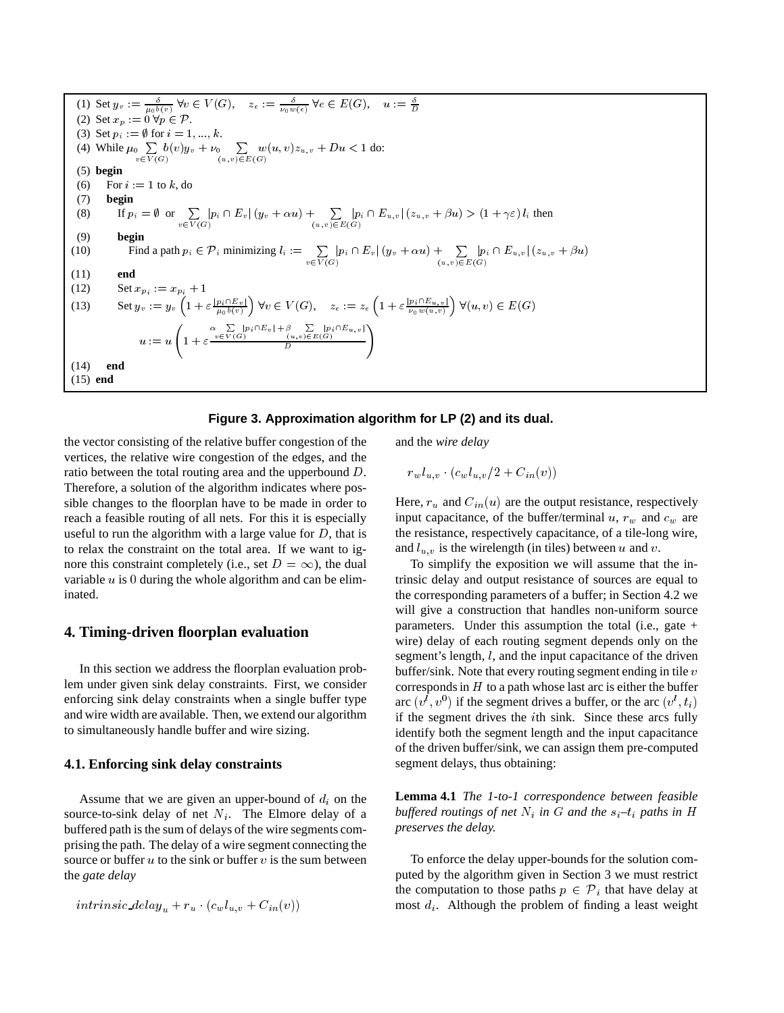(1) Set 
$$
y_v := \frac{\delta}{\mu_0 b(v)} \forall v \in V(G)
$$
,  $z_e := \frac{\delta}{\nu_0 w(e)} \forall e \in E(G)$ ,  $u := \frac{\delta}{D}$   
\n(2) Set  $x_p := 0 \forall p \in \mathcal{P}$ .  
\n(3) Set  $p_i := \emptyset$  for  $i = 1, ..., k$ .  
\n(4) While  $\mu_0 \sum_{v \in V(G)} b(v)y_v + \nu_0 \sum_{(u,v) \in E(G)} w(u,v)z_{u,v} + Du < 1$  do:  
\n(5) begin  
\n(6) For  $i := 1$  to  $k$ , do  
\n(7) begin  
\n(8) If  $p_i = \emptyset$  or  $\sum_{v \in V(G)} |p_i \cap E_v|(y_v + \alpha u) + \sum_{(u,v) \in E(G)} |p_i \cap E_{u,v}| (z_{u,v} + \beta u) > (1 + \gamma \varepsilon) l_i$  then  
\n(9) begin  
\n(10) Find a path  $p_i \in \mathcal{P}_i$  minimizing  $l_i := \sum_{v \in V(G)} |p_i \cap E_v|(y_v + \alpha u) + \sum_{(u,v) \in E(G)} |p_i \cap E_{u,v}| (z_{u,v} + \beta u)$   
\n(11) end  
\n(12) Set  $x_{p_i} := x_{p_i} + 1$   
\n(13) Set  $y_v := y_v \left(1 + \varepsilon \frac{|p_i \cap E_v|}{\mu_0 b(v)}\right) \forall v \in V(G)$ ,  $z_e := z_e \left(1 + \varepsilon \frac{|p_i \cap E_{u,v}|}{\nu_0 w(u,v)}\right) \forall (u, v) \in E(G)$   
\n $u := u \left(1 + \varepsilon \frac{\alpha \sum_{v \in V(G)} |p_i \cap E_v| + \beta \sum_{v \in E(G)} |p_i \cap E_{u,v}|}{D}\right)$   
\n(14) end  
\n(15) end

#### **Figure 3. Approximation algorithm for LP (2) and its dual.**

the vector consisting of the relative buffer congestion of the vertices, the relative wire congestion of the edges, and the ratio between the total routing area and the upperbound <sup>D</sup>. Therefore, a solution of the algorithm indicates where possible changes to the floorplan have to be made in order to reach a feasible routing of all nets. For this it is especially useful to run the algorithm with a large value for  $D$ , that is to relax the constraint on the total area. If we want to ignore this constraint completely (i.e., set  $D = \infty$ ), the dual variable  $u$  is 0 during the whole algorithm and can be eliminated.

# **4. Timing-driven floorplan evaluation**

In this section we address the floorplan evaluation problem under given sink delay constraints. First, we consider enforcing sink delay constraints when a single buffer type and wire width are available. Then, we extend our algorithm to simultaneously handle buffer and wire sizing.

#### **4.1. Enforcing sink delay constraints**

Assume that we are given an upper-bound of  $d_i$  on the source-to-sink delay of net  $N_i$ . The Elmore delay of a buffered path is the sum of delays of the wire segments comprising the path. The delay of a wire segment connecting the source or buffer  $u$  to the sink or buffer  $v$  is the sum between the *gate delay*

$$
intrinsic\_delay_u + r_u \cdot (c_w l_{u,v} + C_{in}(v))
$$

and the *wire delay*

 $r_w l_{u,v} \cdot (c_w l_{u,v}/2 + C_{in}(v))$ 

Here,  $r_u$  and  $C_{in}(u)$  are the output resistance, respectively input capacitance, of the buffer/terminal  $u, r_w$  and  $c_w$  are the resistance, respectively capacitance, of a tile-long wire, and  $l_{u,v}$  is the wirelength (in tiles) between u and v.

To simplify the exposition we will assume that the intrinsic delay and output resistance of sources are equal to the corresponding parameters of a buffer; in Section 4.2 we will give a construction that handles non-uniform source parameters. Under this assumption the total (i.e., gate  $+$ wire) delay of each routing segment depends only on the segment's length, *l*, and the input capacitance of the driven buffer/sink. Note that every routing segment ending in tile  $v$ corresponds in  $H$  to a path whose last arc is either the buffer arc  $(v^l, v^0)$  if the segment drives a buffer, or the arc  $(v^l, t_i)$ if the segment drives the <sup>i</sup>th sink. Since these arcs fully identify both the segment length and the input capacitance of the driven buffer/sink, we can assign them pre-computed segment delays, thus obtaining:

**Lemma 4.1** *The 1-to-1 correspondence between feasible buffered routings of net*  $N_i$  *in*  $G$  *and the*  $s_i$ – $t_i$  *paths in*  $H$ *preserves the delay.*

To enforce the delay upper-bounds for the solution computed by the algorithm given in Section 3 we must restrict the computation to those paths  $p \in \mathcal{P}_i$  that have delay at most  $d_i$ . Although the problem of finding a least weight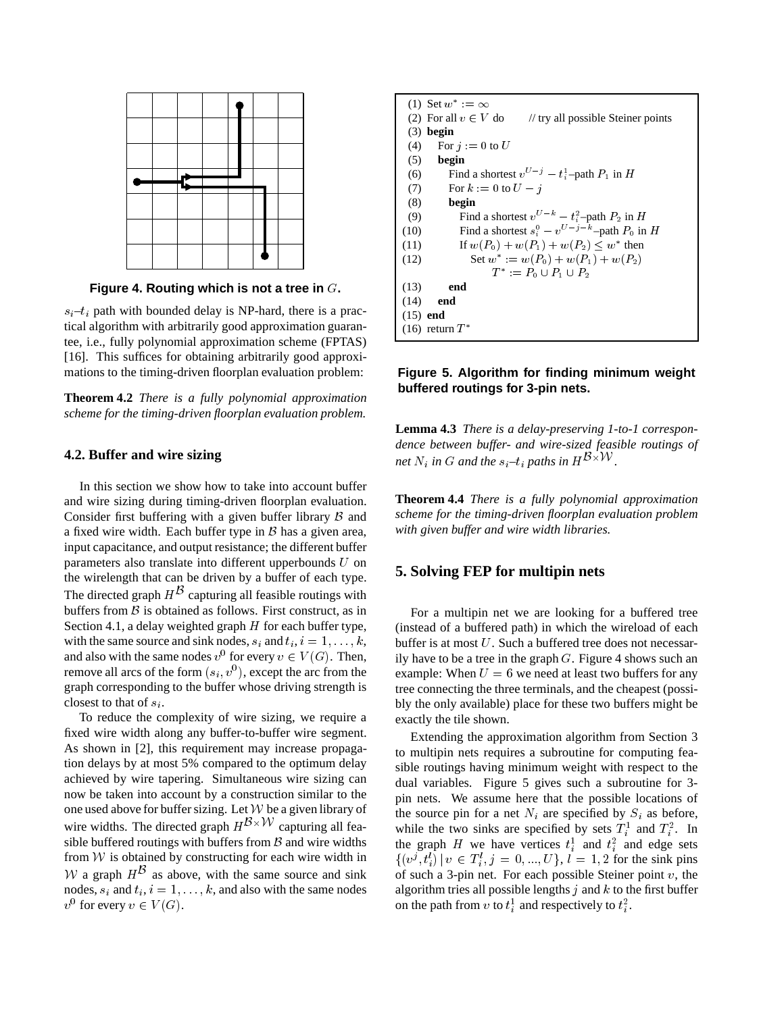

**Figure 4. Routing which is not a tree in** <sup>G</sup>**.**

 $s_i$  –  $t_i$  path with bounded delay is NP-hard, there is a practical algorithm with arbitrarily good approximation guarantee, i.e., fully polynomial approximation scheme (FPTAS) [16]. This suffices for obtaining arbitrarily good approximations to the timing-driven floorplan evaluation problem:

**Theorem 4.2** *There is a fully polynomial approximation scheme for the timing-driven floorplan evaluation problem.*

#### **4.2. Buffer and wire sizing**

In this section we show how to take into account buffer and wire sizing during timing-driven floorplan evaluation. Consider first buffering with a given buffer library  $\beta$  and a fixed wire width. Each buffer type in  $\beta$  has a given area, input capacitance, and output resistance; the different buffer parameters also translate into different upperbounds  $U$  on the wirelength that can be driven by a buffer of each type. The directed graph  $H^D$  capturing all feasible routings with buffers from  $\beta$  is obtained as follows. First construct, as in Section 4.1, a delay weighted graph  $H$  for each buffer type, with the same source and sink nodes,  $s_i$  and  $t_i$ ,  $i = 1, \ldots, k$ , and also with the same nodes  $v^0$  for every  $v \in V(G)$ . Then, remove all arcs of the form  $(s_i, v^0)$ , except the arc from the graph corresponding to the buffer whose driving strength is closest to that of  $s_i$ .

To reduce the complexity of wire sizing, we require a fixed wire width along any buffer-to-buffer wire segment. As shown in [2], this requirement may increase propagation delays by at most 5% compared to the optimum delay achieved by wire tapering. Simultaneous wire sizing can now be taken into account by a construction similar to the one used above for buffer sizing. Let  $W$  be a given library of wire widths. The directed graph  $H^{D\times VV}$  capturing all feasible buffered routings with buffers from  $\beta$  and wire widths from  $W$  is obtained by constructing for each wire width in W a graph  $H^{\mathcal{D}}$  as above, with the same source and sink nodes,  $s_i$  and  $t_i$ ,  $i = 1, \ldots, k$ , and also with the same nodes  $v^0$  for every  $v \in V(G)$ .

|            | (1) Set $w^* := \infty$                                              |  |
|------------|----------------------------------------------------------------------|--|
|            | (2) For all $v \in V$ do $\qquad$ // try all possible Steiner points |  |
|            | $(3)$ begin                                                          |  |
| (4)        | For $i := 0$ to U                                                    |  |
| (5)        | begin                                                                |  |
| (6)        | Find a shortest $v^{U-j} - t_i^1$ -path $P_1$ in H                   |  |
| (7)        | For $k := 0$ to $U - i$                                              |  |
| (8)        | begin                                                                |  |
| (9)        | Find a shortest $v^{U-k} - t^2$ -path $P_2$ in H                     |  |
| (10)       | Find a shortest $s_i^0 - v^{U-j-k}$ -path $P_0$ in H                 |  |
| (11)       | If $w(P_0) + w(P_1) + w(P_2) \leq w^*$ then                          |  |
| (12)       | Set $w^* := w(P_0) + w(P_1) + w(P_2)$                                |  |
|            | $T^* := P_0 \cup P_1 \cup P_2$                                       |  |
| (13)       | end                                                                  |  |
| (14)       | end                                                                  |  |
| $(15)$ end |                                                                      |  |
|            | $(16)$ return $T^*$                                                  |  |

## **Figure 5. Algorithm for finding minimum weight buffered routings for 3-pin nets.**

**Lemma 4.3** *There is a delay-preserving 1-to-1 correspondence between buffer- and wire-sized feasible routings of net*  $N_i$  *in*  $G$  *and the*  $s_i$ - $t_i$  *paths in*  $H^{D\times VV}$ .

**Theorem 4.4** *There is a fully polynomial approximation scheme for the timing-driven floorplan evaluation problem with given buffer and wire width libraries.*

## **5. Solving FEP for multipin nets**

For a multipin net we are looking for a buffered tree (instead of a buffered path) in which the wireload of each buffer is at most  $U$ . Such a buffered tree does not necessarily have to be a tree in the graph  $G$ . Figure 4 shows such an example: When  $U = 6$  we need at least two buffers for any tree connecting the three terminals, and the cheapest (possibly the only available) place for these two buffers might be exactly the tile shown.

Extending the approximation algorithm from Section 3 to multipin nets requires a subroutine for computing feasible routings having minimum weight with respect to the dual variables. Figure 5 gives such a subroutine for 3 pin nets. We assume here that the possible locations of the source pin for a net  $N_i$  are specified by  $S_i$  as before, while the two sinks are specified by sets  $T_i^1$  and  $T_i^2$ . In the graph H we have vertices  $t_i^1$  and  $t_i^2$  and edge sets  $\{(v^j, t_i^l) \mid v \in T_i^l, j = 0, ..., U\}, l = 1, 2$  for the sink pins of such a 3-pin net. For each possible Steiner point  $v$ , the algorithm tries all possible lengths  $j$  and  $k$  to the first buffer on the path from v to  $t_i^1$  and respectively to  $t_i^2$ .

in the company of the company of the company of the company of the company of the company of the company of the company of the company of the company of the company of the company of the company of the company of the compa

in the company of the company of the company of the company of the company of the company of the company of the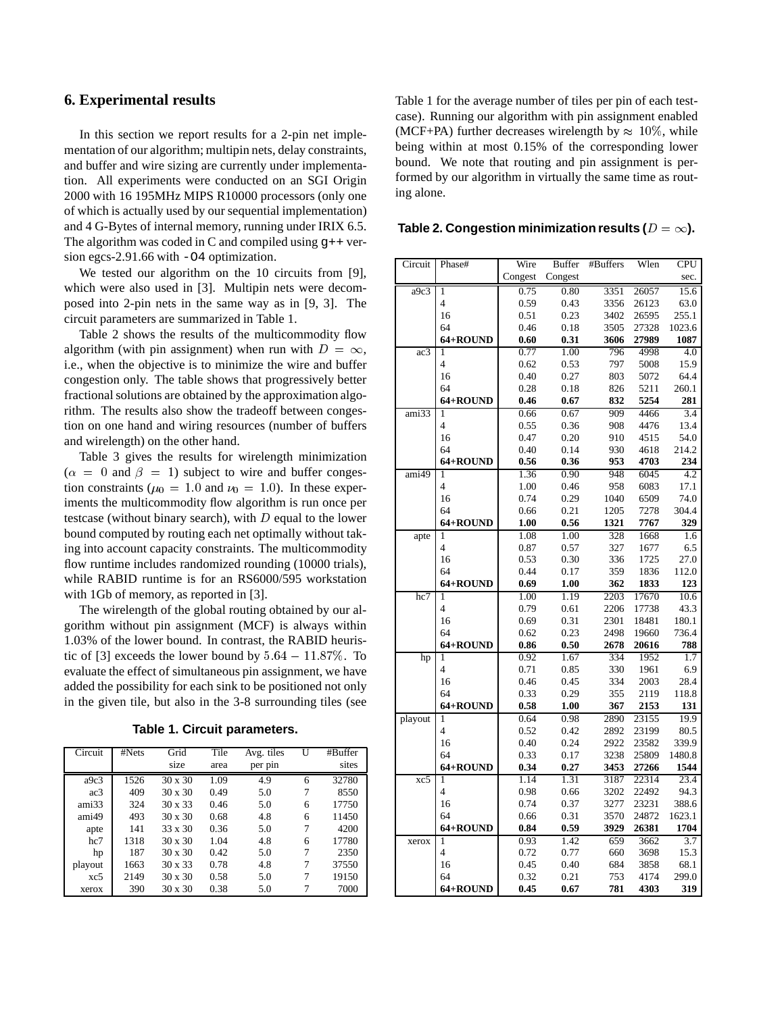## **6. Experimental results**

In this section we report results for a 2-pin net implementation of our algorithm; multipin nets, delay constraints, and buffer and wire sizing are currently under implementation. All experiments were conducted on an SGI Origin 2000 with 16 195MHz MIPS R10000 processors (only one of which is actually used by our sequential implementation) and 4 G-Bytes of internal memory, running under IRIX 6.5. The algorithm was coded in C and compiled using  $g$ ++ version egcs-2.91.66 with -O4 optimization.

We tested our algorithm on the 10 circuits from [9], which were also used in [3]. Multipin nets were decomposed into 2-pin nets in the same way as in [9, 3]. The circuit parameters are summarized in Table 1.

Table 2 shows the results of the multicommodity flow algorithm (with pin assignment) when run with  $D = \infty$ , i.e., when the objective is to minimize the wire and buffer congestion only. The table shows that progressively better fractional solutions are obtained by the approximation algorithm. The results also show the tradeoff between congestion on one hand and wiring resources (number of buffers and wirelength) on the other hand.

Table 3 gives the results for wirelength minimization  $(\alpha = 0 \text{ and } \beta = 1)$  subject to wire and buffer congestion constraints ( $\mu_0 = 1.0$  and  $\nu_0 = 1.0$ ). In these experiments the multicommodity flow algorithm is run once per testcase (without binary search), with  $D$  equal to the lower bound computed by routing each net optimally without taking into account capacity constraints. The multicommodity flow runtime includes randomized rounding (10000 trials), while RABID runtime is for an RS6000/595 workstation with 1Gb of memory, as reported in [3].

The wirelength of the global routing obtained by our algorithm without pin assignment (MCF) is always within 1.03% of the lower bound. In contrast, the RABID heuristic of [3] exceeds the lower bound by  $5.64 - 11.87\%$ . To evaluate the effect of simultaneous pin assignment, we have added the possibility for each sink to be positioned not only in the given tile, but also in the 3-8 surrounding tiles (see

**Table 1. Circuit parameters.**

| Circuit         | #Nets | Grid           | Tile | Avg. tiles | U | #Buffer |
|-----------------|-------|----------------|------|------------|---|---------|
|                 |       | size           | area | per pin    |   | sites   |
| a9c3            | 1526  | $30 \times 30$ | 1.09 | 4.9        | 6 | 32780   |
| ac <sub>3</sub> | 409   | $30 \times 30$ | 0.49 | 5.0        | 7 | 8550    |
| ami33           | 324   | $30 \times 33$ | 0.46 | 5.0        | 6 | 17750   |
| ami49           | 493   | $30 \times 30$ | 0.68 | 4.8        | 6 | 11450   |
| apte            | 141   | $33 \times 30$ | 0.36 | 5.0        | 7 | 4200    |
| hc7             | 1318  | $30 \times 30$ | 1.04 | 4.8        | 6 | 17780   |
| hp              | 187   | $30 \times 30$ | 0.42 | 5.0        | 7 | 2350    |
| playout         | 1663  | $30 \times 33$ | 0.78 | 4.8        | 7 | 37550   |
| xc5             | 2149  | $30 \times 30$ | 0.58 | 5.0        | 7 | 19150   |
| xerox           | 390   | $30 \times 30$ | 0.38 | 5.0        | 7 | 7000    |

Table 1 for the average number of tiles per pin of each testcase). Running our algorithm with pin assignment enabled (MCF+PA) further decreases wirelength by  $\approx 10\%$ , while being within at most 0.15% of the corresponding lower bound. We note that routing and pin assignment is performed by our algorithm in virtually the same time as routing alone.

Table 2. Congestion minimization results ( $D = \infty$ ).

| Circuit                   | Phase#                  | Wire         | <b>Buffer</b> | #Buffers     | Wlen           | <b>CPU</b>       |
|---------------------------|-------------------------|--------------|---------------|--------------|----------------|------------------|
|                           |                         | Congest      | Congest       |              |                | sec.             |
| a9c3                      | $\mathbf{1}$            | 0.75         | 0.80          | 3351         | 26057          | 15.6             |
|                           | 4                       | 0.59         | 0.43          | 3356         | 26123          | 63.0             |
|                           | 16                      | 0.51         | 0.23          | 3402         | 26595          | 255.1            |
|                           | 64                      | 0.46         | 0.18          | 3505         | 27328          | 1023.6           |
|                           | 64+ROUND                | 0.60         | 0.31          | 3606         | 27989          | 1087             |
| ac3                       | 1                       | 0.77         | 1.00          | 796          | 4998           | 4.0              |
|                           | 4                       | 0.62         | 0.53          | 797          | 5008           | 15.9             |
|                           | 16                      | 0.40         | 0.27          | 803          | 5072           | 64.4             |
|                           | 64                      | 0.28         | 0.18          | 826          | 5211           | 260.1            |
|                           | 64+ROUND                | 0.46         | 0.67          | 832          | 5254           | 281              |
| ami33                     | 1                       | 0.66         | 0.67          | 909          | 4466           | 3.4              |
|                           | $\overline{\mathbf{4}}$ | 0.55         | 0.36          | 908          | 4476           | 13.4             |
|                           | 16                      | 0.47         | 0.20          | 910          | 4515           | 54.0             |
|                           | 64                      | 0.40         | 0.14          | 930          | 4618           | 214.2            |
|                           | 64+ROUND                | 0.56         | 0.36          | 953          | 4703           | 234              |
| $\overline{\text{ami}49}$ | 1                       | 1.36         | 0.90          | 948          | 6045           | 4.2              |
|                           | 4                       | 1.00         | 0.46          | 958          | 6083           | 17.1             |
|                           | 16                      | 0.74         | 0.29          | 1040         | 6509           | 74.0             |
|                           | 64                      | 0.66         | 0.21          | 1205         | 7278           | 304.4            |
|                           | 64+ROUND                | 1.00         | 0.56          | 1321         | 7767           | 329              |
| apte                      | 1                       | 1.08         | 1.00          | 328          | 1668           | 1.6              |
|                           | 4                       | 0.87         | 0.57          | 327          | 1677           | 6.5              |
|                           | 16                      | 0.53         | 0.30          | 336          | 1725           | 27.0             |
|                           | 64                      | 0.44         | 0.17          | 359          | 1836           | 112.0            |
|                           | 64+ROUND                | 0.69         | 1.00          | 362          | 1833           | 123              |
| hc7                       | 1<br>4                  | 1.00         | 1.19          | 2203         | 17670          | 10.6             |
|                           | 16                      | 0.79<br>0.69 | 0.61<br>0.31  | 2206<br>2301 | 17738<br>18481 | 43.3             |
|                           | 64                      | 0.62         | 0.23          | 2498         | 19660          | 180.1<br>736.4   |
|                           | 64+ROUND                | 0.86         | 0.50          | 2678         | 20616          | 788              |
| hp                        | $\mathbf{1}$            | 0.92         | 1.67          | 334          | 1952           | 1.7              |
|                           | 4                       | 0.71         | 0.85          | 330          | 1961           | 6.9              |
|                           | 16                      | 0.46         | 0.45          | 334          | 2003           | 28.4             |
|                           | 64                      | 0.33         | 0.29          | 355          | 2119           | 118.8            |
|                           | 64+ROUND                | 0.58         | 1.00          | 367          | 2153           | 131              |
| playout                   | 1                       | 0.64         | 0.98          | 2890         | 23155          | 19.9             |
|                           | 4                       | 0.52         | 0.42          | 2892         | 23199          | 80.5             |
|                           | 16                      | 0.40         | 0.24          | 2922         | 23582          | 339.9            |
|                           | 64                      | 0.33         | 0.17          | 3238         | 25809          | 1480.8           |
|                           | 64+ROUND                | 0.34         | 0.27          | 3453         | 27266          | 1544             |
| $x_{c}5$                  | 1                       | 1.14         | 1.31          | 3187         | 22314          | 23.4             |
|                           | 4                       | 0.98         | 0.66          | 3202         | 22492          | 94.3             |
|                           | 16                      | 0.74         | 0.37          | 3277         | 23231          | 388.6            |
|                           | 64                      | 0.66         | 0.31          | 3570         | 24872          | 1623.1           |
|                           | 64+ROUND                | 0.84         | 0.59          | 3929         | 26381          | 1704             |
| xerox                     | $\mathbf{1}$            | 0.93         | 1.42          | 659          | 3662           | $\overline{3.7}$ |
|                           | 4                       | 0.72         | 0.77          | 660          | 3698           | 15.3             |
|                           | 16                      | 0.45         | 0.40          | 684          | 3858           | 68.1             |
|                           | 64                      | 0.32         | 0.21          | 753          | 4174           | 299.0            |
|                           | 64+ROUND                | 0.45         | 0.67          | 781          | 4303           | 319              |